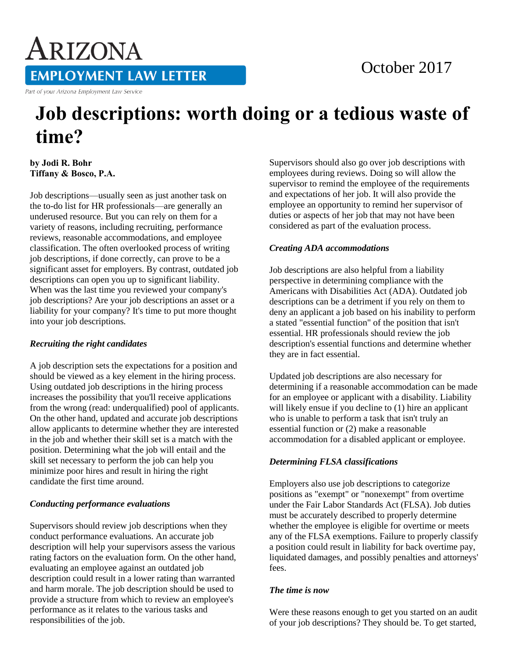# ARIZONA **EMPLOYMENT LAW LETTER**

Part of your Arizona Employment Law Service

### October 2017

## **Job descriptions: worth doing or a tedious waste of time?**

**by Jodi R. Bohr Tiffany & Bosco, P.A.** 

Job descriptions—usually seen as just another task on the to-do list for HR professionals—are generally an underused resource. But you can rely on them for a variety of reasons, including recruiting, performance reviews, reasonable accommodations, and employee classification. The often overlooked process of writing job descriptions, if done correctly, can prove to be a significant asset for employers. By contrast, outdated job descriptions can open you up to significant liability. When was the last time you reviewed your company's job descriptions? Are your job descriptions an asset or a liability for your company? It's time to put more thought into your job descriptions.

#### *Recruiting the right candidates*

A job description sets the expectations for a position and should be viewed as a key element in the hiring process. Using outdated job descriptions in the hiring process increases the possibility that you'll receive applications from the wrong (read: underqualified) pool of applicants. On the other hand, updated and accurate job descriptions allow applicants to determine whether they are interested in the job and whether their skill set is a match with the position. Determining what the job will entail and the skill set necessary to perform the job can help you minimize poor hires and result in hiring the right candidate the first time around.

#### *Conducting performance evaluations*

Supervisors should review job descriptions when they conduct performance evaluations. An accurate job description will help your supervisors assess the various rating factors on the evaluation form. On the other hand, evaluating an employee against an outdated job description could result in a lower rating than warranted and harm morale. The job description should be used to provide a structure from which to review an employee's performance as it relates to the various tasks and responsibilities of the job.

Supervisors should also go over job descriptions with employees during reviews. Doing so will allow the supervisor to remind the employee of the requirements and expectations of her job. It will also provide the employee an opportunity to remind her supervisor of duties or aspects of her job that may not have been considered as part of the evaluation process.

#### *Creating ADA accommodations*

Job descriptions are also helpful from a liability perspective in determining compliance with the Americans with Disabilities Act (ADA). Outdated job descriptions can be a detriment if you rely on them to deny an applicant a job based on his inability to perform a stated "essential function" of the position that isn't essential. HR professionals should review the job description's essential functions and determine whether they are in fact essential.

Updated job descriptions are also necessary for determining if a reasonable accommodation can be made for an employee or applicant with a disability. Liability will likely ensue if you decline to  $(1)$  hire an applicant who is unable to perform a task that isn't truly an essential function or (2) make a reasonable accommodation for a disabled applicant or employee.

#### *Determining FLSA classifications*

Employers also use job descriptions to categorize positions as "exempt" or "nonexempt" from overtime under the Fair Labor Standards Act (FLSA). Job duties must be accurately described to properly determine whether the employee is eligible for overtime or meets any of the FLSA exemptions. Failure to properly classify a position could result in liability for back overtime pay, liquidated damages, and possibly penalties and attorneys' fees.

#### *The time is now*

Were these reasons enough to get you started on an audit of your job descriptions? They should be. To get started,